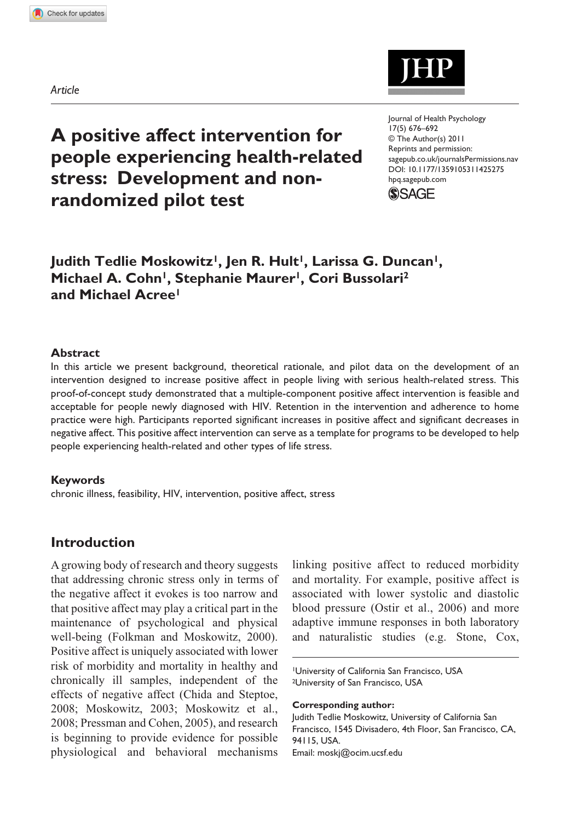*Article*



**A positive affect intervention for people experiencing health-related stress: Development and nonrandomized pilot test**

Journal of Health Psychology 17(5) 676–692 © The Author(s) 2011 Reprints and permission: sagepub.co.uk/journalsPermissions.nav DOI: 10.1177/1359105311425275 hpq.sagepub.com



# Judith Tedlie Moskowitz<sup>i</sup>, Jen R. Hult<sup>i</sup>, Larissa G. Duncan<sup>i</sup>, Michael A. Cohn<sup>1</sup>, Stephanie Maurer<sup>1</sup>, Cori Bussolari<sup>2</sup> **and Michael Acree1**

#### **Abstract**

In this article we present background, theoretical rationale, and pilot data on the development of an intervention designed to increase positive affect in people living with serious health-related stress. This proof-of-concept study demonstrated that a multiple-component positive affect intervention is feasible and acceptable for people newly diagnosed with HIV. Retention in the intervention and adherence to home practice were high. Participants reported significant increases in positive affect and significant decreases in negative affect. This positive affect intervention can serve as a template for programs to be developed to help people experiencing health-related and other types of life stress.

#### **Keywords**

chronic illness, feasibility, HIV, intervention, positive affect, stress

## **Introduction**

A growing body of research and theory suggests that addressing chronic stress only in terms of the negative affect it evokes is too narrow and that positive affect may play a critical part in the maintenance of psychological and physical well-being (Folkman and Moskowitz, 2000). Positive affect is uniquely associated with lower risk of morbidity and mortality in healthy and chronically ill samples, independent of the effects of negative affect (Chida and Steptoe, 2008; Moskowitz, 2003; Moskowitz et al., 2008; Pressman and Cohen, 2005), and research is beginning to provide evidence for possible physiological and behavioral mechanisms linking positive affect to reduced morbidity and mortality. For example, positive affect is associated with lower systolic and diastolic blood pressure (Ostir et al., 2006) and more adaptive immune responses in both laboratory and naturalistic studies (e.g. Stone, Cox,

Judith Tedlie Moskowitz, University of California San Francisco, 1545 Divisadero, 4th Floor, San Francisco, CA, 94115, USA. Email: moskj@ocim.ucsf.edu

<sup>1</sup>University of California San Francisco, USA 2University of San Francisco, USA

**Corresponding author:**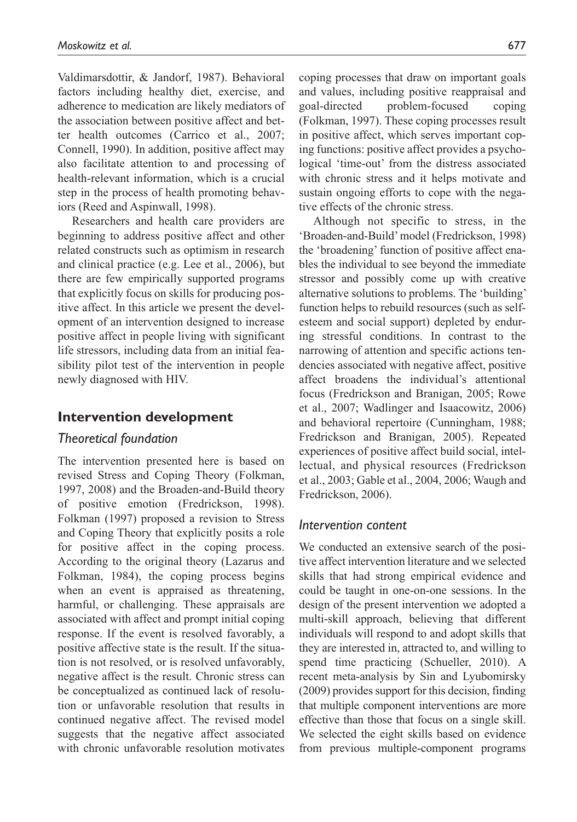Valdimarsdottir, & Jandorf, 1987). Behavioral factors including healthy diet, exercise, and adherence to medication are likely mediators of the association between positive affect and better health outcomes (Carrico et al., 2007; Connell, 1990). In addition, positive affect may also facilitate attention to and processing of health-relevant information, which is a crucial step in the process of health promoting behaviors (Reed and Aspinwall, 1998).

Researchers and health care providers are beginning to address positive affect and other related constructs such as optimism in research and clinical practice (e.g. Lee et al., 2006), but there are few empirically supported programs that explicitly focus on skills for producing positive affect. In this article we present the development of an intervention designed to increase positive affect in people living with significant life stressors, including data from an initial feasibility pilot test of the intervention in people newly diagnosed with HIV.

## **Intervention development**

#### *Theoretical foundation*

The intervention presented here is based on revised Stress and Coping Theory (Folkman, 1997, 2008) and the Broaden-and-Build theory of positive emotion (Fredrickson, 1998). Folkman (1997) proposed a revision to Stress and Coping Theory that explicitly posits a role for positive affect in the coping process. According to the original theory (Lazarus and Folkman, 1984), the coping process begins when an event is appraised as threatening, harmful, or challenging. These appraisals are associated with affect and prompt initial coping response. If the event is resolved favorably, a positive affective state is the result. If the situation is not resolved, or is resolved unfavorably, negative affect is the result. Chronic stress can be conceptualized as continued lack of resolution or unfavorable resolution that results in continued negative affect. The revised model suggests that the negative affect associated with chronic unfavorable resolution motivates

coping processes that draw on important goals and values, including positive reappraisal and goal-directed problem-focused coping (Folkman, 1997). These coping processes result in positive affect, which serves important coping functions: positive affect provides a psychological 'time-out' from the distress associated with chronic stress and it helps motivate and sustain ongoing efforts to cope with the negative effects of the chronic stress.

Although not specific to stress, in the 'Broaden-and-Build' model (Fredrickson, 1998) the 'broadening' function of positive affect enables the individual to see beyond the immediate stressor and possibly come up with creative alternative solutions to problems. The 'building' function helps to rebuild resources (such as selfesteem and social support) depleted by enduring stressful conditions. In contrast to the narrowing of attention and specific actions tendencies associated with negative affect, positive affect broadens the individual's attentional focus (Fredrickson and Branigan, 2005; Rowe et al., 2007; Wadlinger and Isaacowitz, 2006) and behavioral repertoire (Cunningham, 1988; Fredrickson and Branigan, 2005). Repeated experiences of positive affect build social, intellectual, and physical resources (Fredrickson et al., 2003; Gable et al., 2004, 2006; Waugh and Fredrickson, 2006).

#### *Intervention content*

We conducted an extensive search of the positive affect intervention literature and we selected skills that had strong empirical evidence and could be taught in one-on-one sessions. In the design of the present intervention we adopted a multi-skill approach, believing that different individuals will respond to and adopt skills that they are interested in, attracted to, and willing to spend time practicing (Schueller, 2010). A recent meta-analysis by Sin and Lyubomirsky (2009) provides support for this decision, finding that multiple component interventions are more effective than those that focus on a single skill. We selected the eight skills based on evidence from previous multiple-component programs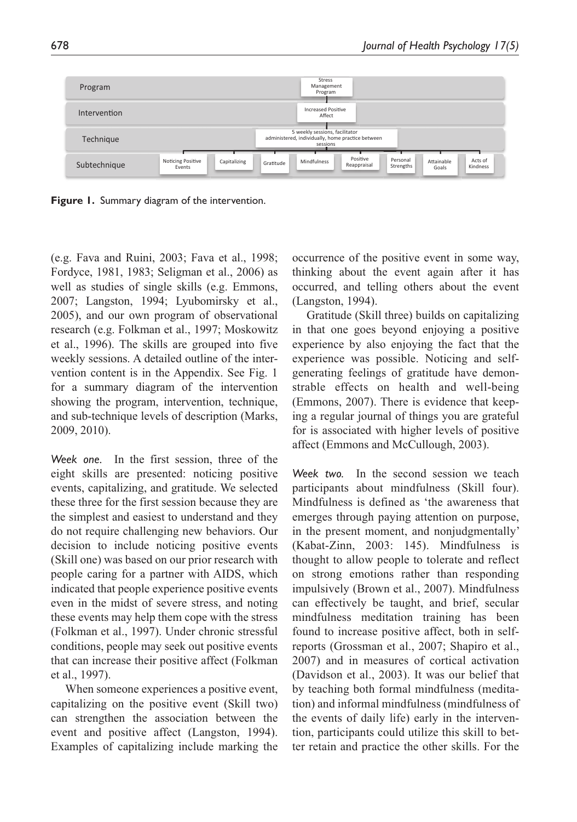

**Figure 1.** Summary diagram of the intervention.

(e.g. Fava and Ruini, 2003; Fava et al., 1998; Fordyce, 1981, 1983; Seligman et al., 2006) as well as studies of single skills (e.g. Emmons, 2007; Langston, 1994; Lyubomirsky et al., 2005), and our own program of observational research (e.g. Folkman et al., 1997; Moskowitz et al., 1996). The skills are grouped into five weekly sessions. A detailed outline of the intervention content is in the Appendix. See Fig. 1 for a summary diagram of the intervention showing the program, intervention, technique, and sub-technique levels of description (Marks, 2009, 2010).

*Week one.* In the first session, three of the eight skills are presented: noticing positive events, capitalizing, and gratitude. We selected these three for the first session because they are the simplest and easiest to understand and they do not require challenging new behaviors. Our decision to include noticing positive events (Skill one) was based on our prior research with people caring for a partner with AIDS, which indicated that people experience positive events even in the midst of severe stress, and noting these events may help them cope with the stress (Folkman et al., 1997). Under chronic stressful conditions, people may seek out positive events that can increase their positive affect (Folkman et al., 1997).

When someone experiences a positive event, capitalizing on the positive event (Skill two) can strengthen the association between the event and positive affect (Langston, 1994). Examples of capitalizing include marking the occurrence of the positive event in some way, thinking about the event again after it has occurred, and telling others about the event (Langston, 1994).

Gratitude (Skill three) builds on capitalizing in that one goes beyond enjoying a positive experience by also enjoying the fact that the experience was possible. Noticing and selfgenerating feelings of gratitude have demonstrable effects on health and well-being (Emmons, 2007). There is evidence that keeping a regular journal of things you are grateful for is associated with higher levels of positive affect (Emmons and McCullough, 2003).

*Week two.* In the second session we teach participants about mindfulness (Skill four). Mindfulness is defined as 'the awareness that emerges through paying attention on purpose, in the present moment, and nonjudgmentally' (Kabat-Zinn, 2003: 145). Mindfulness is thought to allow people to tolerate and reflect on strong emotions rather than responding impulsively (Brown et al., 2007). Mindfulness can effectively be taught, and brief, secular mindfulness meditation training has been found to increase positive affect, both in selfreports (Grossman et al., 2007; Shapiro et al., 2007) and in measures of cortical activation (Davidson et al., 2003). It was our belief that by teaching both formal mindfulness (meditation) and informal mindfulness (mindfulness of the events of daily life) early in the intervention, participants could utilize this skill to better retain and practice the other skills. For the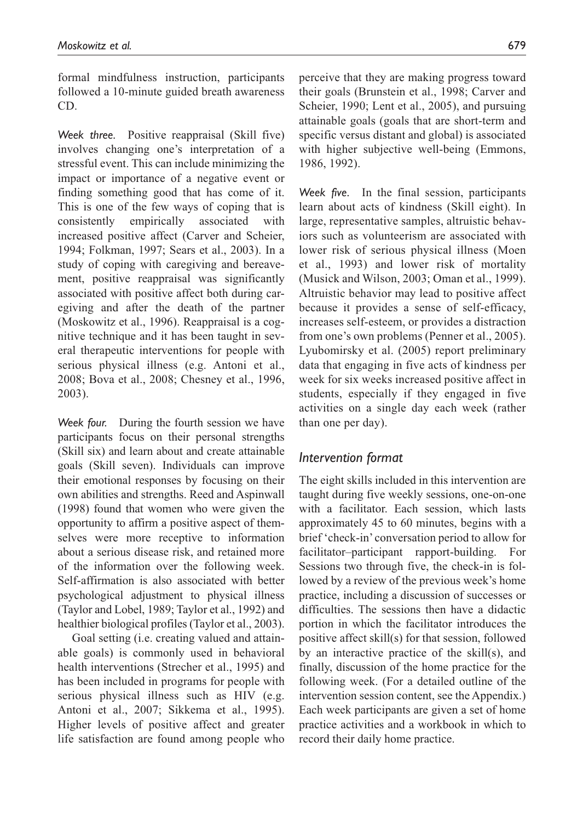*Week three.* Positive reappraisal (Skill five) involves changing one's interpretation of a stressful event. This can include minimizing the impact or importance of a negative event or finding something good that has come of it. This is one of the few ways of coping that is consistently empirically associated with increased positive affect (Carver and Scheier, 1994; Folkman, 1997; Sears et al., 2003). In a study of coping with caregiving and bereavement, positive reappraisal was significantly associated with positive affect both during caregiving and after the death of the partner (Moskowitz et al., 1996). Reappraisal is a cognitive technique and it has been taught in several therapeutic interventions for people with serious physical illness (e.g. Antoni et al., 2008; Bova et al., 2008; Chesney et al., 1996, 2003).

*Week four.* During the fourth session we have participants focus on their personal strengths (Skill six) and learn about and create attainable goals (Skill seven). Individuals can improve their emotional responses by focusing on their own abilities and strengths. Reed and Aspinwall (1998) found that women who were given the opportunity to affirm a positive aspect of themselves were more receptive to information about a serious disease risk, and retained more of the information over the following week. Self-affirmation is also associated with better psychological adjustment to physical illness (Taylor and Lobel, 1989; Taylor et al., 1992) and healthier biological profiles (Taylor et al., 2003).

Goal setting (i.e. creating valued and attainable goals) is commonly used in behavioral health interventions (Strecher et al., 1995) and has been included in programs for people with serious physical illness such as HIV (e.g. Antoni et al., 2007; Sikkema et al., 1995). Higher levels of positive affect and greater life satisfaction are found among people who

perceive that they are making progress toward their goals (Brunstein et al., 1998; Carver and Scheier, 1990; Lent et al., 2005), and pursuing attainable goals (goals that are short-term and specific versus distant and global) is associated with higher subjective well-being (Emmons, 1986, 1992).

*Week five.* In the final session, participants learn about acts of kindness (Skill eight). In large, representative samples, altruistic behaviors such as volunteerism are associated with lower risk of serious physical illness (Moen et al., 1993) and lower risk of mortality (Musick and Wilson, 2003; Oman et al., 1999). Altruistic behavior may lead to positive affect because it provides a sense of self-efficacy, increases self-esteem, or provides a distraction from one's own problems (Penner et al., 2005). Lyubomirsky et al. (2005) report preliminary data that engaging in five acts of kindness per week for six weeks increased positive affect in students, especially if they engaged in five activities on a single day each week (rather than one per day).

## *Intervention format*

The eight skills included in this intervention are taught during five weekly sessions, one-on-one with a facilitator. Each session, which lasts approximately 45 to 60 minutes, begins with a brief 'check-in' conversation period to allow for facilitator–participant rapport-building. For Sessions two through five, the check-in is followed by a review of the previous week's home practice, including a discussion of successes or difficulties. The sessions then have a didactic portion in which the facilitator introduces the positive affect skill(s) for that session, followed by an interactive practice of the skill(s), and finally, discussion of the home practice for the following week. (For a detailed outline of the intervention session content, see the Appendix.) Each week participants are given a set of home practice activities and a workbook in which to record their daily home practice.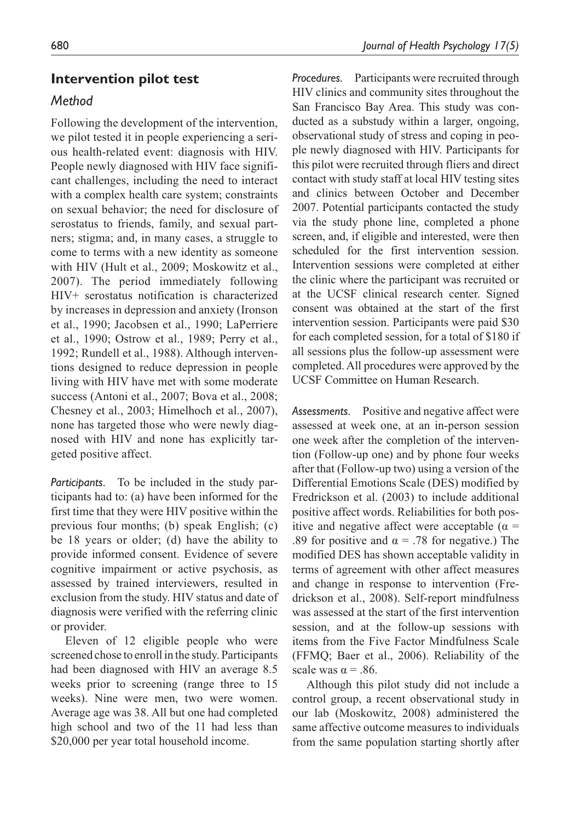### **Intervention pilot test**

## *Method*

Following the development of the intervention, we pilot tested it in people experiencing a serious health-related event: diagnosis with HIV. People newly diagnosed with HIV face significant challenges, including the need to interact with a complex health care system; constraints on sexual behavior; the need for disclosure of serostatus to friends, family, and sexual partners; stigma; and, in many cases, a struggle to come to terms with a new identity as someone with HIV (Hult et al., 2009; Moskowitz et al., 2007). The period immediately following HIV+ serostatus notification is characterized by increases in depression and anxiety (Ironson et al., 1990; Jacobsen et al., 1990; LaPerriere et al., 1990; Ostrow et al., 1989; Perry et al., 1992; Rundell et al., 1988). Although interventions designed to reduce depression in people living with HIV have met with some moderate success (Antoni et al., 2007; Bova et al., 2008; Chesney et al., 2003; Himelhoch et al., 2007), none has targeted those who were newly diagnosed with HIV and none has explicitly targeted positive affect.

*Participants.* To be included in the study participants had to: (a) have been informed for the first time that they were HIV positive within the previous four months; (b) speak English; (c) be 18 years or older; (d) have the ability to provide informed consent. Evidence of severe cognitive impairment or active psychosis, as assessed by trained interviewers, resulted in exclusion from the study. HIV status and date of diagnosis were verified with the referring clinic or provider.

Eleven of 12 eligible people who were screened chose to enroll in the study. Participants had been diagnosed with HIV an average 8.5 weeks prior to screening (range three to 15 weeks). Nine were men, two were women. Average age was 38. All but one had completed high school and two of the 11 had less than \$20,000 per year total household income.

*Procedures.* Participants were recruited through HIV clinics and community sites throughout the San Francisco Bay Area. This study was conducted as a substudy within a larger, ongoing, observational study of stress and coping in people newly diagnosed with HIV. Participants for this pilot were recruited through fliers and direct contact with study staff at local HIV testing sites and clinics between October and December 2007. Potential participants contacted the study via the study phone line, completed a phone screen, and, if eligible and interested, were then scheduled for the first intervention session. Intervention sessions were completed at either the clinic where the participant was recruited or at the UCSF clinical research center. Signed consent was obtained at the start of the first intervention session. Participants were paid \$30 for each completed session, for a total of \$180 if all sessions plus the follow-up assessment were completed. All procedures were approved by the UCSF Committee on Human Research.

*Assessments.* Positive and negative affect were assessed at week one, at an in-person session one week after the completion of the intervention (Follow-up one) and by phone four weeks after that (Follow-up two) using a version of the Differential Emotions Scale (DES) modified by Fredrickson et al. (2003) to include additional positive affect words. Reliabilities for both positive and negative affect were acceptable ( $\alpha$  = .89 for positive and  $\alpha = .78$  for negative.) The modified DES has shown acceptable validity in terms of agreement with other affect measures and change in response to intervention (Fredrickson et al., 2008). Self-report mindfulness was assessed at the start of the first intervention session, and at the follow-up sessions with items from the Five Factor Mindfulness Scale (FFMQ; Baer et al., 2006). Reliability of the scale was  $\alpha = .86$ .

Although this pilot study did not include a control group, a recent observational study in our lab (Moskowitz, 2008) administered the same affective outcome measures to individuals from the same population starting shortly after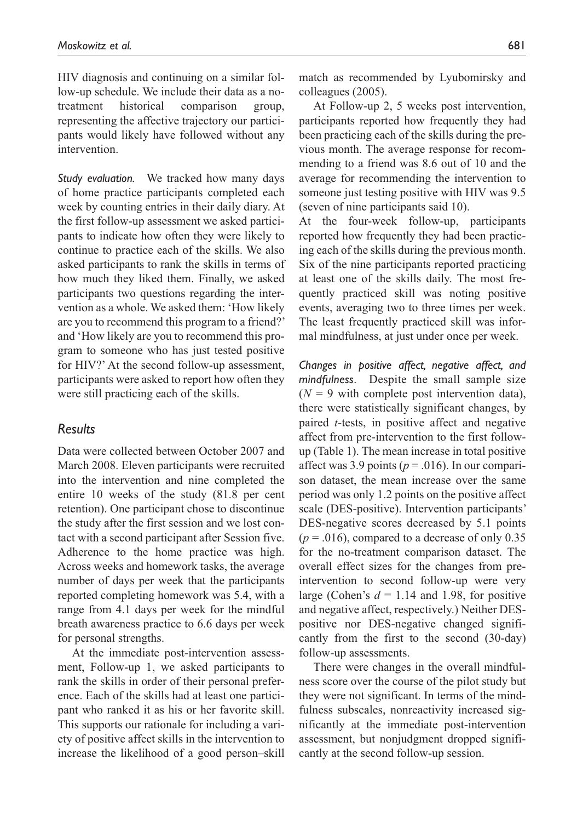HIV diagnosis and continuing on a similar follow-up schedule. We include their data as a notreatment historical comparison group, representing the affective trajectory our participants would likely have followed without any intervention.

*Study evaluation.* We tracked how many days of home practice participants completed each week by counting entries in their daily diary. At the first follow-up assessment we asked participants to indicate how often they were likely to continue to practice each of the skills. We also asked participants to rank the skills in terms of how much they liked them. Finally, we asked participants two questions regarding the intervention as a whole. We asked them: 'How likely are you to recommend this program to a friend?' and 'How likely are you to recommend this program to someone who has just tested positive for HIV?' At the second follow-up assessment, participants were asked to report how often they were still practicing each of the skills.

#### *Results*

Data were collected between October 2007 and March 2008. Eleven participants were recruited into the intervention and nine completed the entire 10 weeks of the study (81.8 per cent retention). One participant chose to discontinue the study after the first session and we lost contact with a second participant after Session five. Adherence to the home practice was high. Across weeks and homework tasks, the average number of days per week that the participants reported completing homework was 5.4, with a range from 4.1 days per week for the mindful breath awareness practice to 6.6 days per week for personal strengths.

At the immediate post-intervention assessment, Follow-up 1, we asked participants to rank the skills in order of their personal preference. Each of the skills had at least one participant who ranked it as his or her favorite skill. This supports our rationale for including a variety of positive affect skills in the intervention to increase the likelihood of a good person–skill

match as recommended by Lyubomirsky and colleagues (2005).

At Follow-up 2, 5 weeks post intervention, participants reported how frequently they had been practicing each of the skills during the previous month. The average response for recommending to a friend was 8.6 out of 10 and the average for recommending the intervention to someone just testing positive with HIV was 9.5 (seven of nine participants said 10).

At the four-week follow-up, participants reported how frequently they had been practicing each of the skills during the previous month. Six of the nine participants reported practicing at least one of the skills daily. The most frequently practiced skill was noting positive events, averaging two to three times per week. The least frequently practiced skill was informal mindfulness, at just under once per week.

*Changes in positive affect, negative affect, and mindfulness*. Despite the small sample size  $(N = 9$  with complete post intervention data), there were statistically significant changes, by paired *t*-tests, in positive affect and negative affect from pre-intervention to the first followup (Table 1). The mean increase in total positive affect was 3.9 points ( $p = .016$ ). In our comparison dataset, the mean increase over the same period was only 1.2 points on the positive affect scale (DES-positive). Intervention participants' DES-negative scores decreased by 5.1 points  $(p = .016)$ , compared to a decrease of only 0.35 for the no-treatment comparison dataset. The overall effect sizes for the changes from preintervention to second follow-up were very large (Cohen's  $d = 1.14$  and 1.98, for positive and negative affect, respectively.) Neither DESpositive nor DES-negative changed significantly from the first to the second (30-day) follow-up assessments.

There were changes in the overall mindfulness score over the course of the pilot study but they were not significant. In terms of the mindfulness subscales, nonreactivity increased significantly at the immediate post-intervention assessment, but nonjudgment dropped significantly at the second follow-up session.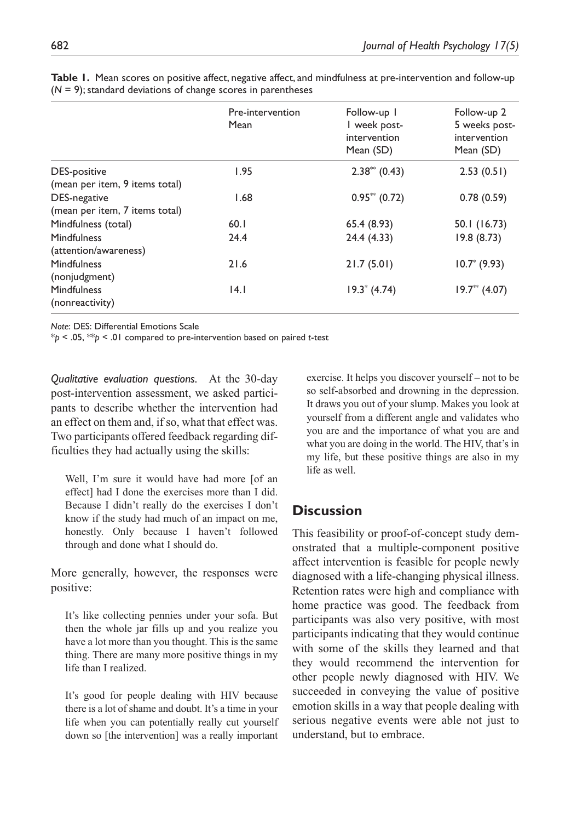Follow-up 2 5 weeks post-

| <b>I.</b> Mean scores on positive affect, negative affect, and mindfulness at pre-intervent<br>; standard deviations of change scores in parentheses |                          |                             |
|------------------------------------------------------------------------------------------------------------------------------------------------------|--------------------------|-----------------------------|
|                                                                                                                                                      | Pre-intervention<br>Mean | Follow-up I<br>I week post- |
|                                                                                                                                                      |                          | intervention                |

**Table 1.** Mean scores on positive affect, negative affect, and mindfulness at pre-intervention and follow-up  $(N = 9)$ 

|                                                |      | intervention<br>Mean (SD) | intervention<br>Mean (SD) |
|------------------------------------------------|------|---------------------------|---------------------------|
| DES-positive<br>(mean per item, 9 items total) | 1.95 | $2.38^{**}$ (0.43)        | 2.53(0.51)                |
| DES-negative<br>(mean per item, 7 items total) | 1.68 | $0.95^{**}$ (0.72)        | 0.78(0.59)                |
| Mindfulness (total)                            | 60.1 | 65.4 (8.93)               | 50.1 (16.73)              |
| <b>Mindfulness</b><br>(attention/awareness)    | 24.4 | 24.4(4.33)                | 19.8(8.73)                |
| <b>Mindfulness</b><br>(nonjudgment)            | 21.6 | 21.7(5.01)                | $10.7^*$ (9.93)           |
| <b>Mindfulness</b><br>(nonreactivity)          | 4.   | $19.3^* (4.74)$           | $19.7^{\ast\ast}$ (4.07)  |

*Note*: DES: Differential Emotions Scale

\**p* < .05, \*\**p* < .01 compared to pre-intervention based on paired *t*-test

*Qualitative evaluation questions.* At the 30-day post-intervention assessment, we asked participants to describe whether the intervention had an effect on them and, if so, what that effect was. Two participants offered feedback regarding difficulties they had actually using the skills:

Well, I'm sure it would have had more [of an effect] had I done the exercises more than I did. Because I didn't really do the exercises I don't know if the study had much of an impact on me, honestly. Only because I haven't followed through and done what I should do.

More generally, however, the responses were positive:

It's like collecting pennies under your sofa. But then the whole jar fills up and you realize you have a lot more than you thought. This is the same thing. There are many more positive things in my life than I realized.

It's good for people dealing with HIV because there is a lot of shame and doubt. It's a time in your life when you can potentially really cut yourself down so [the intervention] was a really important exercise. It helps you discover yourself – not to be so self-absorbed and drowning in the depression. It draws you out of your slump. Makes you look at yourself from a different angle and validates who you are and the importance of what you are and what you are doing in the world. The HIV, that's in my life, but these positive things are also in my life as well.

# **Discussion**

This feasibility or proof-of-concept study demonstrated that a multiple-component positive affect intervention is feasible for people newly diagnosed with a life-changing physical illness. Retention rates were high and compliance with home practice was good. The feedback from participants was also very positive, with most participants indicating that they would continue with some of the skills they learned and that they would recommend the intervention for other people newly diagnosed with HIV. We succeeded in conveying the value of positive emotion skills in a way that people dealing with serious negative events were able not just to understand, but to embrace.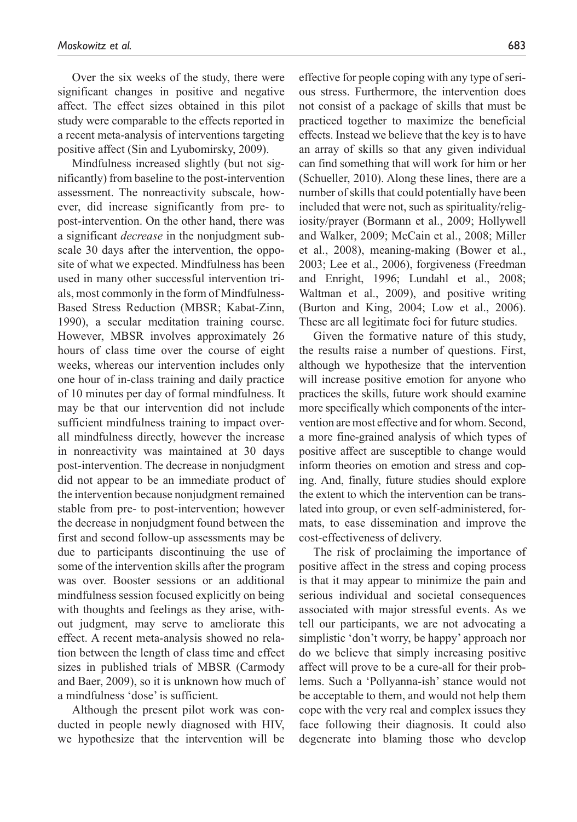Over the six weeks of the study, there were significant changes in positive and negative affect. The effect sizes obtained in this pilot study were comparable to the effects reported in a recent meta-analysis of interventions targeting positive affect (Sin and Lyubomirsky, 2009).

Mindfulness increased slightly (but not significantly) from baseline to the post-intervention assessment. The nonreactivity subscale, however, did increase significantly from pre- to post-intervention. On the other hand, there was a significant *decrease* in the nonjudgment subscale 30 days after the intervention, the opposite of what we expected. Mindfulness has been used in many other successful intervention trials, most commonly in the form of Mindfulness-Based Stress Reduction (MBSR; Kabat-Zinn, 1990), a secular meditation training course. However, MBSR involves approximately 26 hours of class time over the course of eight weeks, whereas our intervention includes only one hour of in-class training and daily practice of 10 minutes per day of formal mindfulness. It may be that our intervention did not include sufficient mindfulness training to impact overall mindfulness directly, however the increase in nonreactivity was maintained at 30 days post-intervention. The decrease in nonjudgment did not appear to be an immediate product of the intervention because nonjudgment remained stable from pre- to post-intervention; however the decrease in nonjudgment found between the first and second follow-up assessments may be due to participants discontinuing the use of some of the intervention skills after the program was over. Booster sessions or an additional mindfulness session focused explicitly on being with thoughts and feelings as they arise, without judgment, may serve to ameliorate this effect. A recent meta-analysis showed no relation between the length of class time and effect sizes in published trials of MBSR (Carmody and Baer, 2009), so it is unknown how much of a mindfulness 'dose' is sufficient.

Although the present pilot work was conducted in people newly diagnosed with HIV, we hypothesize that the intervention will be effective for people coping with any type of serious stress. Furthermore, the intervention does not consist of a package of skills that must be practiced together to maximize the beneficial effects. Instead we believe that the key is to have an array of skills so that any given individual can find something that will work for him or her (Schueller, 2010). Along these lines, there are a number of skills that could potentially have been included that were not, such as spirituality/religiosity/prayer (Bormann et al., 2009; Hollywell and Walker, 2009; McCain et al., 2008; Miller et al., 2008), meaning-making (Bower et al., 2003; Lee et al., 2006), forgiveness (Freedman and Enright, 1996; Lundahl et al., 2008; Waltman et al., 2009), and positive writing (Burton and King, 2004; Low et al., 2006). These are all legitimate foci for future studies.

Given the formative nature of this study, the results raise a number of questions. First, although we hypothesize that the intervention will increase positive emotion for anyone who practices the skills, future work should examine more specifically which components of the intervention are most effective and for whom. Second, a more fine-grained analysis of which types of positive affect are susceptible to change would inform theories on emotion and stress and coping. And, finally, future studies should explore the extent to which the intervention can be translated into group, or even self-administered, formats, to ease dissemination and improve the cost-effectiveness of delivery.

The risk of proclaiming the importance of positive affect in the stress and coping process is that it may appear to minimize the pain and serious individual and societal consequences associated with major stressful events. As we tell our participants, we are not advocating a simplistic 'don't worry, be happy' approach nor do we believe that simply increasing positive affect will prove to be a cure-all for their problems. Such a 'Pollyanna-ish' stance would not be acceptable to them, and would not help them cope with the very real and complex issues they face following their diagnosis. It could also degenerate into blaming those who develop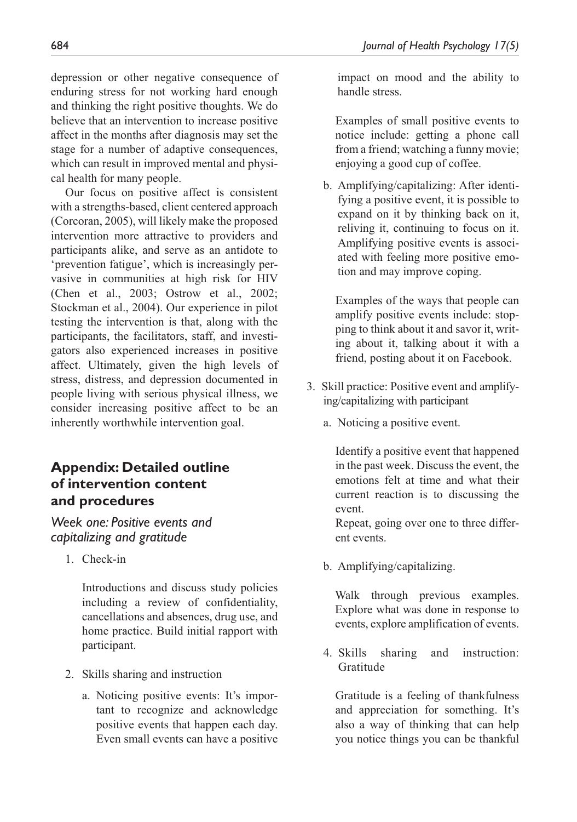depression or other negative consequence of enduring stress for not working hard enough and thinking the right positive thoughts. We do believe that an intervention to increase positive affect in the months after diagnosis may set the stage for a number of adaptive consequences, which can result in improved mental and physical health for many people.

Our focus on positive affect is consistent with a strengths-based, client centered approach (Corcoran, 2005), will likely make the proposed intervention more attractive to providers and participants alike, and serve as an antidote to 'prevention fatigue', which is increasingly pervasive in communities at high risk for HIV (Chen et al., 2003; Ostrow et al., 2002; Stockman et al., 2004). Our experience in pilot testing the intervention is that, along with the participants, the facilitators, staff, and investigators also experienced increases in positive affect. Ultimately, given the high levels of stress, distress, and depression documented in people living with serious physical illness, we consider increasing positive affect to be an inherently worthwhile intervention goal.

# **Appendix: Detailed outline of intervention content and procedures**

*Week one: Positive events and capitalizing and gratitude*

1. Check-in

Introductions and discuss study policies including a review of confidentiality, cancellations and absences, drug use, and home practice. Build initial rapport with participant.

- 2. Skills sharing and instruction
	- a. Noticing positive events: It's important to recognize and acknowledge positive events that happen each day. Even small events can have a positive

impact on mood and the ability to handle stress.

 Examples of small positive events to notice include: getting a phone call from a friend; watching a funny movie; enjoying a good cup of coffee.

b. Amplifying/capitalizing: After identifying a positive event, it is possible to expand on it by thinking back on it, reliving it, continuing to focus on it. Amplifying positive events is associated with feeling more positive emotion and may improve coping.

 Examples of the ways that people can amplify positive events include: stopping to think about it and savor it, writing about it, talking about it with a friend, posting about it on Facebook.

- 3. Skill practice: Positive event and amplifying/capitalizing with participant
	- a. Noticing a positive event.

 Identify a positive event that happened in the past week. Discuss the event, the emotions felt at time and what their current reaction is to discussing the event.

 Repeat, going over one to three different events.

b. Amplifying/capitalizing.

Walk through previous examples. Explore what was done in response to events, explore amplification of events.

4. Skills sharing and instruction: Gratitude

 Gratitude is a feeling of thankfulness and appreciation for something. It's also a way of thinking that can help you notice things you can be thankful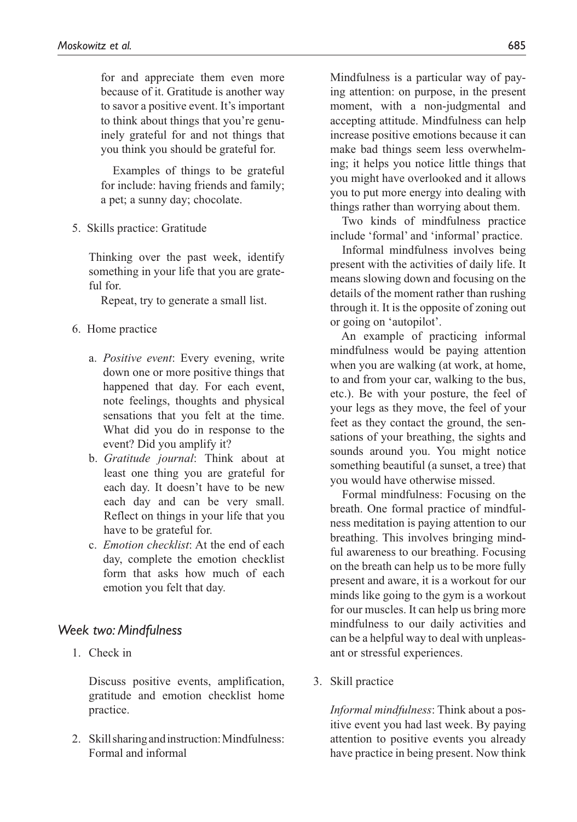for and appreciate them even more because of it. Gratitude is another way to savor a positive event. It's important to think about things that you're genuinely grateful for and not things that you think you should be grateful for.

 Examples of things to be grateful for include: having friends and family; a pet; a sunny day; chocolate.

5. Skills practice: Gratitude

Thinking over the past week, identify something in your life that you are grateful for.

Repeat, try to generate a small list.

- 6. Home practice
	- a. *Positive event*: Every evening, write down one or more positive things that happened that day. For each event, note feelings, thoughts and physical sensations that you felt at the time. What did you do in response to the event? Did you amplify it?
	- b. *Gratitude journal*: Think about at least one thing you are grateful for each day. It doesn't have to be new each day and can be very small. Reflect on things in your life that you have to be grateful for.
	- c. *Emotion checklist*: At the end of each day, complete the emotion checklist form that asks how much of each emotion you felt that day.

## *Week two: Mindfulness*

1. Check in

Discuss positive events, amplification, gratitude and emotion checklist home practice.

2. Skill sharing and instruction: Mindfulness: Formal and informal

Mindfulness is a particular way of paying attention: on purpose, in the present moment, with a non-judgmental and accepting attitude. Mindfulness can help increase positive emotions because it can make bad things seem less overwhelming; it helps you notice little things that you might have overlooked and it allows you to put more energy into dealing with things rather than worrying about them.

Two kinds of mindfulness practice include 'formal' and 'informal' practice.

Informal mindfulness involves being present with the activities of daily life. It means slowing down and focusing on the details of the moment rather than rushing through it. It is the opposite of zoning out or going on 'autopilot'.

An example of practicing informal mindfulness would be paying attention when you are walking (at work, at home, to and from your car, walking to the bus, etc.). Be with your posture, the feel of your legs as they move, the feel of your feet as they contact the ground, the sensations of your breathing, the sights and sounds around you. You might notice something beautiful (a sunset, a tree) that you would have otherwise missed.

Formal mindfulness: Focusing on the breath. One formal practice of mindfulness meditation is paying attention to our breathing. This involves bringing mindful awareness to our breathing. Focusing on the breath can help us to be more fully present and aware, it is a workout for our minds like going to the gym is a workout for our muscles. It can help us bring more mindfulness to our daily activities and can be a helpful way to deal with unpleasant or stressful experiences.

3. Skill practice

*Informal mindfulness*: Think about a positive event you had last week. By paying attention to positive events you already have practice in being present. Now think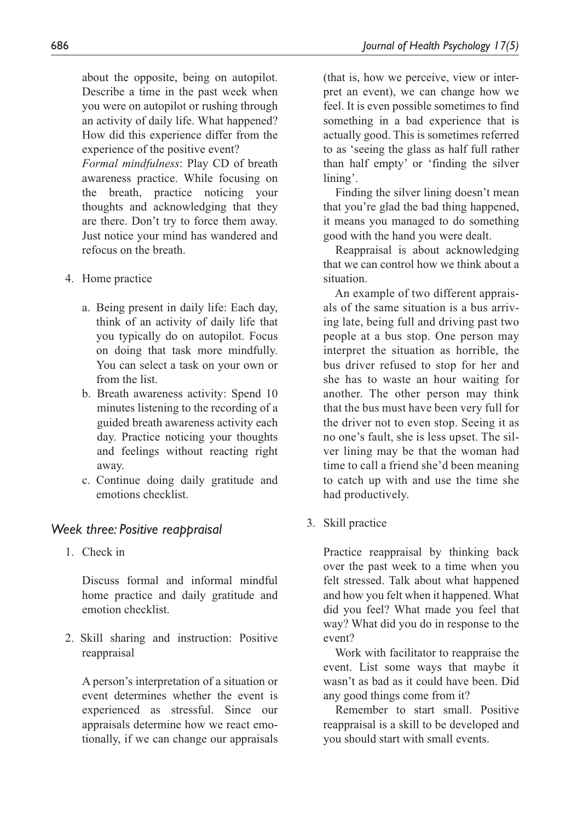about the opposite, being on autopilot. Describe a time in the past week when you were on autopilot or rushing through an activity of daily life. What happened? How did this experience differ from the experience of the positive event?

*Formal mindfulness*: Play CD of breath awareness practice. While focusing on the breath, practice noticing your thoughts and acknowledging that they are there. Don't try to force them away. Just notice your mind has wandered and refocus on the breath.

- 4. Home practice
	- a. Being present in daily life: Each day, think of an activity of daily life that you typically do on autopilot. Focus on doing that task more mindfully. You can select a task on your own or from the list.
	- b. Breath awareness activity: Spend 10 minutes listening to the recording of a guided breath awareness activity each day. Practice noticing your thoughts and feelings without reacting right away.
	- c. Continue doing daily gratitude and emotions checklist.

# *Week three: Positive reappraisal*

1. Check in

Discuss formal and informal mindful home practice and daily gratitude and emotion checklist.

2. Skill sharing and instruction: Positive reappraisal

A person's interpretation of a situation or event determines whether the event is experienced as stressful. Since our appraisals determine how we react emotionally, if we can change our appraisals (that is, how we perceive, view or interpret an event), we can change how we feel. It is even possible sometimes to find something in a bad experience that is actually good. This is sometimes referred to as 'seeing the glass as half full rather than half empty' or 'finding the silver lining'.

Finding the silver lining doesn't mean that you're glad the bad thing happened, it means you managed to do something good with the hand you were dealt.

Reappraisal is about acknowledging that we can control how we think about a situation.

An example of two different appraisals of the same situation is a bus arriving late, being full and driving past two people at a bus stop. One person may interpret the situation as horrible, the bus driver refused to stop for her and she has to waste an hour waiting for another. The other person may think that the bus must have been very full for the driver not to even stop. Seeing it as no one's fault, she is less upset. The silver lining may be that the woman had time to call a friend she'd been meaning to catch up with and use the time she had productively.

3. Skill practice

Practice reappraisal by thinking back over the past week to a time when you felt stressed. Talk about what happened and how you felt when it happened. What did you feel? What made you feel that way? What did you do in response to the event?

Work with facilitator to reappraise the event. List some ways that maybe it wasn't as bad as it could have been. Did any good things come from it?

Remember to start small. Positive reappraisal is a skill to be developed and you should start with small events.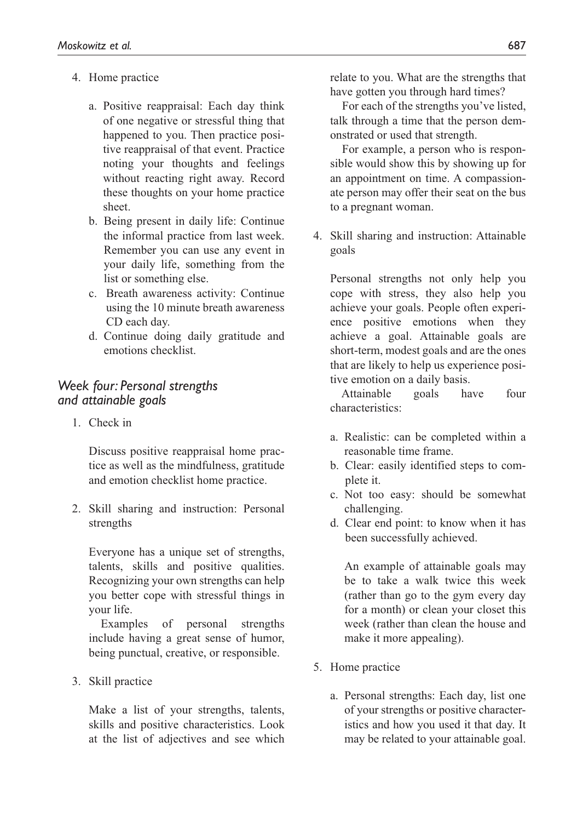- 4. Home practice
	- a. Positive reappraisal: Each day think of one negative or stressful thing that happened to you. Then practice positive reappraisal of that event. Practice noting your thoughts and feelings without reacting right away. Record these thoughts on your home practice sheet.
	- b. Being present in daily life: Continue the informal practice from last week. Remember you can use any event in your daily life, something from the list or something else.
	- c. Breath awareness activity: Continue using the 10 minute breath awareness CD each day.
	- d. Continue doing daily gratitude and emotions checklist.

# *Week four: Personal strengths and attainable goals*

1. Check in

Discuss positive reappraisal home practice as well as the mindfulness, gratitude and emotion checklist home practice.

2. Skill sharing and instruction: Personal strengths

Everyone has a unique set of strengths, talents, skills and positive qualities. Recognizing your own strengths can help you better cope with stressful things in your life.

Examples of personal strengths include having a great sense of humor, being punctual, creative, or responsible.

3. Skill practice

Make a list of your strengths, talents, skills and positive characteristics. Look at the list of adjectives and see which

relate to you. What are the strengths that have gotten you through hard times?

For each of the strengths you've listed, talk through a time that the person demonstrated or used that strength.

For example, a person who is responsible would show this by showing up for an appointment on time. A compassionate person may offer their seat on the bus to a pregnant woman.

4. Skill sharing and instruction: Attainable goals

Personal strengths not only help you cope with stress, they also help you achieve your goals. People often experience positive emotions when they achieve a goal. Attainable goals are short-term, modest goals and are the ones that are likely to help us experience positive emotion on a daily basis.

Attainable goals have four characteristics:

- a. Realistic: can be completed within a reasonable time frame.
- b. Clear: easily identified steps to complete it.
- c. Not too easy: should be somewhat challenging.
- d. Clear end point: to know when it has been successfully achieved.

An example of attainable goals may be to take a walk twice this week (rather than go to the gym every day for a month) or clean your closet this week (rather than clean the house and make it more appealing).

- 5. Home practice
	- a. Personal strengths: Each day, list one of your strengths or positive characteristics and how you used it that day. It may be related to your attainable goal.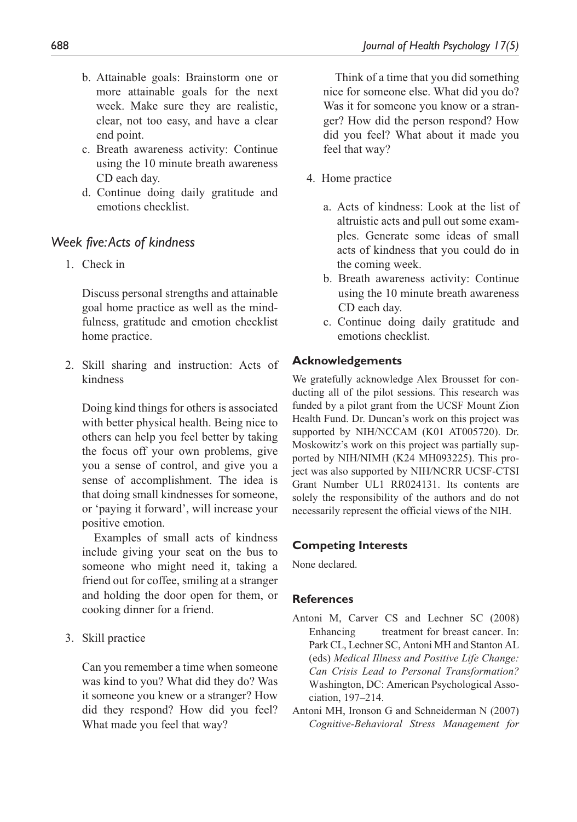- b. Attainable goals: Brainstorm one or more attainable goals for the next week. Make sure they are realistic, clear, not too easy, and have a clear end point.
- c. Breath awareness activity: Continue using the 10 minute breath awareness CD each day.
- d. Continue doing daily gratitude and emotions checklist.

## *Week five: Acts of kindness*

1. Check in

Discuss personal strengths and attainable goal home practice as well as the mindfulness, gratitude and emotion checklist home practice.

2. Skill sharing and instruction: Acts of kindness

Doing kind things for others is associated with better physical health. Being nice to others can help you feel better by taking the focus off your own problems, give you a sense of control, and give you a sense of accomplishment. The idea is that doing small kindnesses for someone, or 'paying it forward', will increase your positive emotion.

Examples of small acts of kindness include giving your seat on the bus to someone who might need it, taking a friend out for coffee, smiling at a stranger and holding the door open for them, or cooking dinner for a friend.

3. Skill practice

Can you remember a time when someone was kind to you? What did they do? Was it someone you knew or a stranger? How did they respond? How did you feel? What made you feel that way?

Think of a time that you did something nice for someone else. What did you do? Was it for someone you know or a stranger? How did the person respond? How did you feel? What about it made you feel that way?

- 4. Home practice
	- a. Acts of kindness: Look at the list of altruistic acts and pull out some examples. Generate some ideas of small acts of kindness that you could do in the coming week.
	- b. Breath awareness activity: Continue using the 10 minute breath awareness CD each day.
	- c. Continue doing daily gratitude and emotions checklist.

#### **Acknowledgements**

We gratefully acknowledge Alex Brousset for conducting all of the pilot sessions. This research was funded by a pilot grant from the UCSF Mount Zion Health Fund. Dr. Duncan's work on this project was supported by NIH/NCCAM (K01 AT005720). Dr. Moskowitz's work on this project was partially supported by NIH/NIMH (K24 MH093225). This project was also supported by NIH/NCRR UCSF-CTSI Grant Number UL1 RR024131. Its contents are solely the responsibility of the authors and do not necessarily represent the official views of the NIH.

## **Competing Interests**

None declared.

#### **References**

- Antoni M, Carver CS and Lechner SC (2008) Enhancing treatment for breast cancer. In: Park CL, Lechner SC, Antoni MH and Stanton AL (eds) *Medical Illness and Positive Life Change: Can Crisis Lead to Personal Transformation?* Washington, DC: American Psychological Association, 197–214.
- Antoni MH, Ironson G and Schneiderman N (2007) *Cognitive-Behavioral Stress Management for*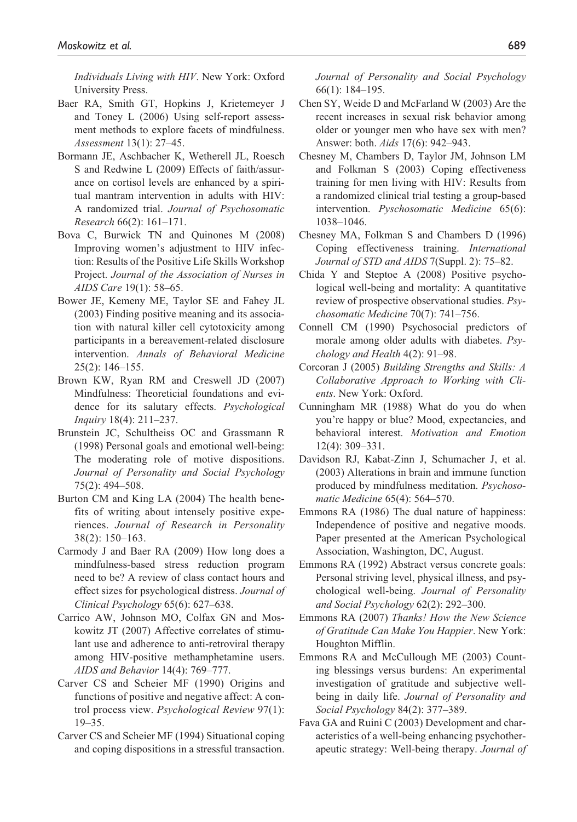*Individuals Living with HIV*. New York: Oxford University Press.

- Baer RA, Smith GT, Hopkins J, Krietemeyer J and Toney L (2006) Using self-report assessment methods to explore facets of mindfulness. *Assessment* 13(1): 27–45.
- Bormann JE, Aschbacher K, Wetherell JL, Roesch S and Redwine L (2009) Effects of faith/assurance on cortisol levels are enhanced by a spiritual mantram intervention in adults with HIV: A randomized trial. *Journal of Psychosomatic Research* 66(2): 161–171.
- Bova C, Burwick TN and Quinones M (2008) Improving women's adjustment to HIV infection: Results of the Positive Life Skills Workshop Project. *Journal of the Association of Nurses in AIDS Care* 19(1): 58–65.
- Bower JE, Kemeny ME, Taylor SE and Fahey JL (2003) Finding positive meaning and its association with natural killer cell cytotoxicity among participants in a bereavement-related disclosure intervention. *Annals of Behavioral Medicine* 25(2): 146–155.
- Brown KW, Ryan RM and Creswell JD (2007) Mindfulness: Theoreticial foundations and evidence for its salutary effects. *Psychological Inquiry* 18(4): 211–237.
- Brunstein JC, Schultheiss OC and Grassmann R (1998) Personal goals and emotional well-being: The moderating role of motive dispositions. *Journal of Personality and Social Psychology* 75(2): 494–508.
- Burton CM and King LA (2004) The health benefits of writing about intensely positive experiences. *Journal of Research in Personality* 38(2): 150–163.
- Carmody J and Baer RA (2009) How long does a mindfulness-based stress reduction program need to be? A review of class contact hours and effect sizes for psychological distress. *Journal of Clinical Psychology* 65(6): 627–638.
- Carrico AW, Johnson MO, Colfax GN and Moskowitz JT (2007) Affective correlates of stimulant use and adherence to anti-retroviral therapy among HIV-positive methamphetamine users. *AIDS and Behavior* 14(4): 769–777.
- Carver CS and Scheier MF (1990) Origins and functions of positive and negative affect: A control process view. *Psychological Review* 97(1): 19–35.
- Carver CS and Scheier MF (1994) Situational coping and coping dispositions in a stressful transaction.

*Journal of Personality and Social Psychology* 66(1): 184–195.

- Chen SY, Weide D and McFarland W (2003) Are the recent increases in sexual risk behavior among older or younger men who have sex with men? Answer: both. *Aids* 17(6): 942–943.
- Chesney M, Chambers D, Taylor JM, Johnson LM and Folkman S (2003) Coping effectiveness training for men living with HIV: Results from a randomized clinical trial testing a group-based intervention. *Pyschosomatic Medicine* 65(6): 1038–1046.
- Chesney MA, Folkman S and Chambers D (1996) Coping effectiveness training. *International Journal of STD and AIDS* 7(Suppl. 2): 75–82.
- Chida Y and Steptoe A (2008) Positive psychological well-being and mortality: A quantitative review of prospective observational studies. *Psychosomatic Medicine* 70(7): 741–756.
- Connell CM (1990) Psychosocial predictors of morale among older adults with diabetes. *Psychology and Health* 4(2): 91–98.
- Corcoran J (2005) *Building Strengths and Skills: A Collaborative Approach to Working with Clients*. New York: Oxford.
- Cunningham MR (1988) What do you do when you're happy or blue? Mood, expectancies, and behavioral interest. *Motivation and Emotion* 12(4): 309–331.
- Davidson RJ, Kabat-Zinn J, Schumacher J, et al. (2003) Alterations in brain and immune function produced by mindfulness meditation. *Psychosomatic Medicine* 65(4): 564–570.
- Emmons RA (1986) The dual nature of happiness: Independence of positive and negative moods. Paper presented at the American Psychological Association, Washington, DC, August.
- Emmons RA (1992) Abstract versus concrete goals: Personal striving level, physical illness, and psychological well-being. *Journal of Personality and Social Psychology* 62(2): 292–300.
- Emmons RA (2007) *Thanks! How the New Science of Gratitude Can Make You Happier*. New York: Houghton Mifflin.
- Emmons RA and McCullough ME (2003) Counting blessings versus burdens: An experimental investigation of gratitude and subjective wellbeing in daily life. *Journal of Personality and Social Psychology* 84(2): 377–389.
- Fava GA and Ruini C (2003) Development and characteristics of a well-being enhancing psychotherapeutic strategy: Well-being therapy. *Journal of*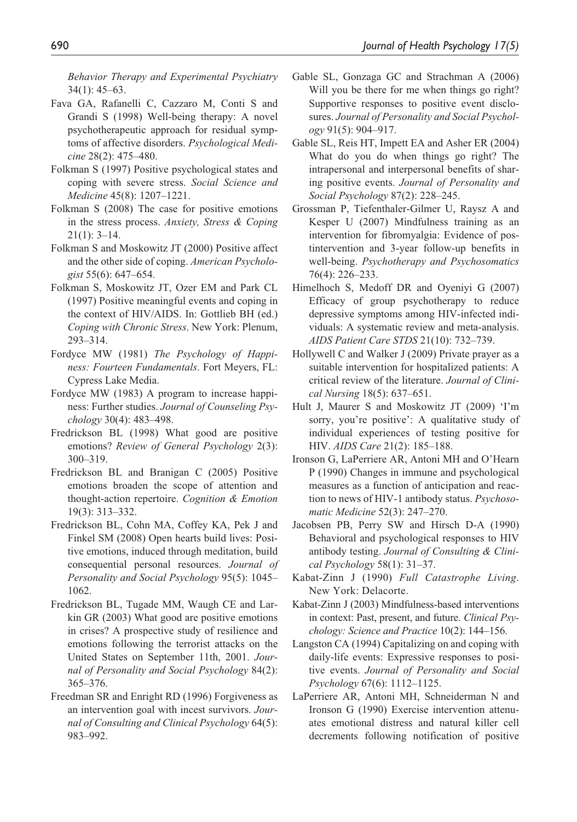*Behavior Therapy and Experimental Psychiatry* 34(1): 45–63.

- Fava GA, Rafanelli C, Cazzaro M, Conti S and Grandi S (1998) Well-being therapy: A novel psychotherapeutic approach for residual symptoms of affective disorders. *Psychological Medicine* 28(2): 475–480.
- Folkman S (1997) Positive psychological states and coping with severe stress. *Social Science and Medicine* 45(8): 1207–1221.
- Folkman S (2008) The case for positive emotions in the stress process. *Anxiety, Stress & Coping* 21(1): 3–14.
- Folkman S and Moskowitz JT (2000) Positive affect and the other side of coping. *American Psychologist* 55(6): 647–654.
- Folkman S, Moskowitz JT, Ozer EM and Park CL (1997) Positive meaningful events and coping in the context of HIV/AIDS. In: Gottlieb BH (ed.) *Coping with Chronic Stress*. New York: Plenum, 293–314.
- Fordyce MW (1981) *The Psychology of Happiness: Fourteen Fundamentals*. Fort Meyers, FL: Cypress Lake Media.
- Fordyce MW (1983) A program to increase happiness: Further studies. *Journal of Counseling Psychology* 30(4): 483–498.
- Fredrickson BL (1998) What good are positive emotions? *Review of General Psychology* 2(3): 300–319.
- Fredrickson BL and Branigan C (2005) Positive emotions broaden the scope of attention and thought-action repertoire. *Cognition & Emotion* 19(3): 313–332.
- Fredrickson BL, Cohn MA, Coffey KA, Pek J and Finkel SM (2008) Open hearts build lives: Positive emotions, induced through meditation, build consequential personal resources. *Journal of Personality and Social Psychology* 95(5): 1045– 1062.
- Fredrickson BL, Tugade MM, Waugh CE and Larkin GR (2003) What good are positive emotions in crises? A prospective study of resilience and emotions following the terrorist attacks on the United States on September 11th, 2001. *Journal of Personality and Social Psychology* 84(2): 365–376.
- Freedman SR and Enright RD (1996) Forgiveness as an intervention goal with incest survivors. *Journal of Consulting and Clinical Psychology* 64(5): 983–992.
- Gable SL, Gonzaga GC and Strachman A (2006) Will you be there for me when things go right? Supportive responses to positive event disclosures. *Journal of Personality and Social Psychology* 91(5): 904–917.
- Gable SL, Reis HT, Impett EA and Asher ER (2004) What do you do when things go right? The intrapersonal and interpersonal benefits of sharing positive events. *Journal of Personality and Social Psychology* 87(2): 228–245.
- Grossman P, Tiefenthaler-Gilmer U, Raysz A and Kesper U (2007) Mindfulness training as an intervention for fibromyalgia: Evidence of postintervention and 3-year follow-up benefits in well-being. *Psychotherapy and Psychosomatics* 76(4): 226–233.
- Himelhoch S, Medoff DR and Oyeniyi G (2007) Efficacy of group psychotherapy to reduce depressive symptoms among HIV-infected individuals: A systematic review and meta-analysis. *AIDS Patient Care STDS* 21(10): 732–739.
- Hollywell C and Walker J (2009) Private prayer as a suitable intervention for hospitalized patients: A critical review of the literature. *Journal of Clinical Nursing* 18(5): 637–651.
- Hult J, Maurer S and Moskowitz JT (2009) 'I'm sorry, you're positive': A qualitative study of individual experiences of testing positive for HIV. *AIDS Care* 21(2): 185–188.
- Ironson G, LaPerriere AR, Antoni MH and O'Hearn P (1990) Changes in immune and psychological measures as a function of anticipation and reaction to news of HIV-1 antibody status. *Psychosomatic Medicine* 52(3): 247–270.
- Jacobsen PB, Perry SW and Hirsch D-A (1990) Behavioral and psychological responses to HIV antibody testing. *Journal of Consulting & Clinical Psychology* 58(1): 31–37.
- Kabat-Zinn J (1990) *Full Catastrophe Living*. New York: Delacorte.
- Kabat-Zinn J (2003) Mindfulness-based interventions in context: Past, present, and future. *Clinical Psychology: Science and Practice* 10(2): 144–156.
- Langston CA (1994) Capitalizing on and coping with daily-life events: Expressive responses to positive events. *Journal of Personality and Social Psychology* 67(6): 1112–1125.
- LaPerriere AR, Antoni MH, Schneiderman N and Ironson G (1990) Exercise intervention attenuates emotional distress and natural killer cell decrements following notification of positive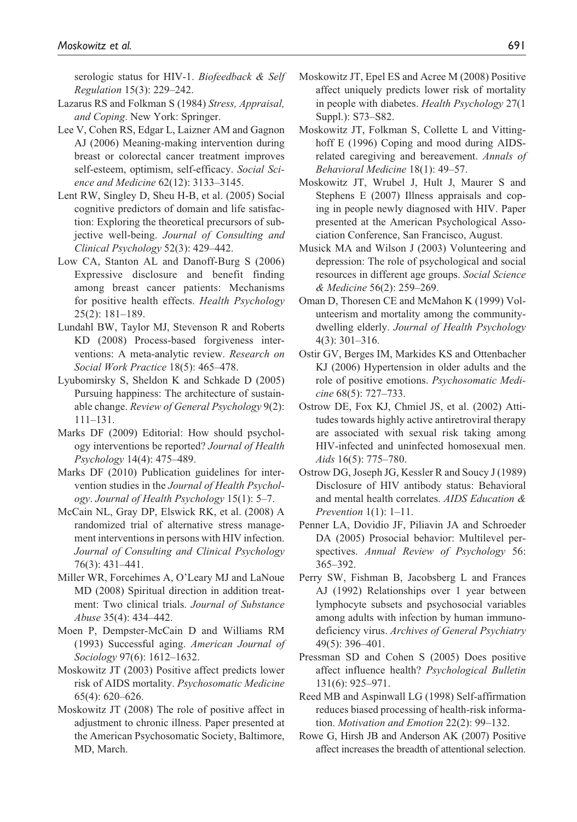serologic status for HIV-1. *Biofeedback & Self Regulation* 15(3): 229–242.

- Lazarus RS and Folkman S (1984) *Stress, Appraisal, and Coping*. New York: Springer.
- Lee V, Cohen RS, Edgar L, Laizner AM and Gagnon AJ (2006) Meaning-making intervention during breast or colorectal cancer treatment improves self-esteem, optimism, self-efficacy. *Social Science and Medicine* 62(12): 3133–3145.
- Lent RW, Singley D, Sheu H-B, et al. (2005) Social cognitive predictors of domain and life satisfaction: Exploring the theoretical precursors of subjective well-being. *Journal of Consulting and Clinical Psychology* 52(3): 429–442.
- Low CA, Stanton AL and Danoff-Burg S (2006) Expressive disclosure and benefit finding among breast cancer patients: Mechanisms for positive health effects. *Health Psychology* 25(2): 181–189.
- Lundahl BW, Taylor MJ, Stevenson R and Roberts KD (2008) Process-based forgiveness interventions: A meta-analytic review. *Research on Social Work Practice* 18(5): 465–478.
- Lyubomirsky S, Sheldon K and Schkade D (2005) Pursuing happiness: The architecture of sustainable change. *Review of General Psychology* 9(2): 111–131.
- Marks DF (2009) Editorial: How should psychology interventions be reported? *Journal of Health Psychology* 14(4): 475–489.
- Marks DF (2010) Publication guidelines for intervention studies in the *Journal of Health Psychology*. *Journal of Health Psychology* 15(1): 5–7.
- McCain NL, Gray DP, Elswick RK, et al. (2008) A randomized trial of alternative stress management interventions in persons with HIV infection. *Journal of Consulting and Clinical Psychology* 76(3): 431–441.
- Miller WR, Forcehimes A, O'Leary MJ and LaNoue MD (2008) Spiritual direction in addition treatment: Two clinical trials. *Journal of Substance Abuse* 35(4): 434–442.
- Moen P, Dempster-McCain D and Williams RM (1993) Successful aging. *American Journal of Sociology* 97(6): 1612–1632.
- Moskowitz JT (2003) Positive affect predicts lower risk of AIDS mortality. *Psychosomatic Medicine* 65(4): 620–626.
- Moskowitz JT (2008) The role of positive affect in adjustment to chronic illness. Paper presented at the American Psychosomatic Society, Baltimore, MD, March.
- Moskowitz JT, Epel ES and Acree M (2008) Positive affect uniquely predicts lower risk of mortality in people with diabetes. *Health Psychology* 27(1 Suppl.): S73–S82.
- Moskowitz JT, Folkman S, Collette L and Vittinghoff E (1996) Coping and mood during AIDSrelated caregiving and bereavement. *Annals of Behavioral Medicine* 18(1): 49–57.
- Moskowitz JT, Wrubel J, Hult J, Maurer S and Stephens E (2007) Illness appraisals and coping in people newly diagnosed with HIV. Paper presented at the American Psychological Association Conference, San Francisco, August.
- Musick MA and Wilson J (2003) Volunteering and depression: The role of psychological and social resources in different age groups. *Social Science & Medicine* 56(2): 259–269.
- Oman D, Thoresen CE and McMahon K (1999) Volunteerism and mortality among the communitydwelling elderly. *Journal of Health Psychology* 4(3): 301–316.
- Ostir GV, Berges IM, Markides KS and Ottenbacher KJ (2006) Hypertension in older adults and the role of positive emotions. *Psychosomatic Medicine* 68(5): 727–733.
- Ostrow DE, Fox KJ, Chmiel JS, et al. (2002) Attitudes towards highly active antiretroviral therapy are associated with sexual risk taking among HIV-infected and uninfected homosexual men. *Aids* 16(5): 775–780.
- Ostrow DG, Joseph JG, Kessler R and Soucy J (1989) Disclosure of HIV antibody status: Behavioral and mental health correlates. *AIDS Education & Prevention* 1(1): 1–11.
- Penner LA, Dovidio JF, Piliavin JA and Schroeder DA (2005) Prosocial behavior: Multilevel perspectives. *Annual Review of Psychology* 56: 365–392.
- Perry SW, Fishman B, Jacobsberg L and Frances AJ (1992) Relationships over 1 year between lymphocyte subsets and psychosocial variables among adults with infection by human immunodeficiency virus. *Archives of General Psychiatry* 49(5): 396–401.
- Pressman SD and Cohen S (2005) Does positive affect influence health? *Psychological Bulletin* 131(6): 925–971.
- Reed MB and Aspinwall LG (1998) Self-affirmation reduces biased processing of health-risk information. *Motivation and Emotion* 22(2): 99–132.
- Rowe G, Hirsh JB and Anderson AK (2007) Positive affect increases the breadth of attentional selection.